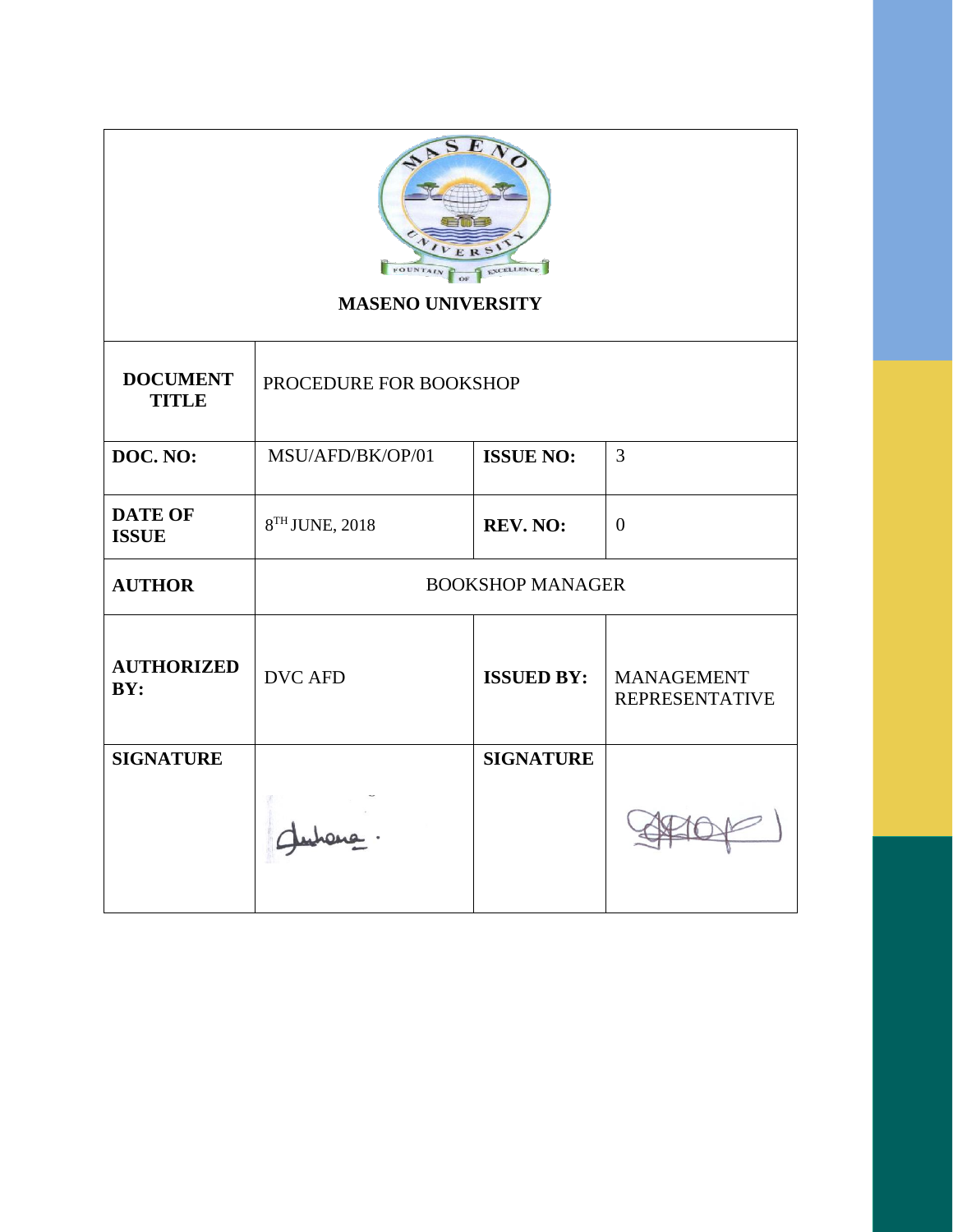| E<br>NO                                    |
|--------------------------------------------|
|                                            |
| ERS                                        |
| <b>FOUNTAIN</b><br><b>EXCELLENCE</b><br>OF |

# **MASENO UNIVERSITY**

| <b>DOCUMENT</b><br><b>TITLE</b> | PROCEDURE FOR BOOKSHOP  |                   |                                            |
|---------------------------------|-------------------------|-------------------|--------------------------------------------|
| DOC. NO:                        | MSU/AFD/BK/OP/01        | <b>ISSUE NO:</b>  | 3                                          |
| <b>DATE OF</b><br><b>ISSUE</b>  | 8TH JUNE, 2018          | <b>REV. NO:</b>   | $\theta$                                   |
| <b>AUTHOR</b>                   | <b>BOOKSHOP MANAGER</b> |                   |                                            |
| <b>AUTHORIZED</b><br>BY:        | <b>DVC AFD</b>          | <b>ISSUED BY:</b> | <b>MANAGEMENT</b><br><b>REPRESENTATIVE</b> |
| <b>SIGNATURE</b>                |                         | <b>SIGNATURE</b>  |                                            |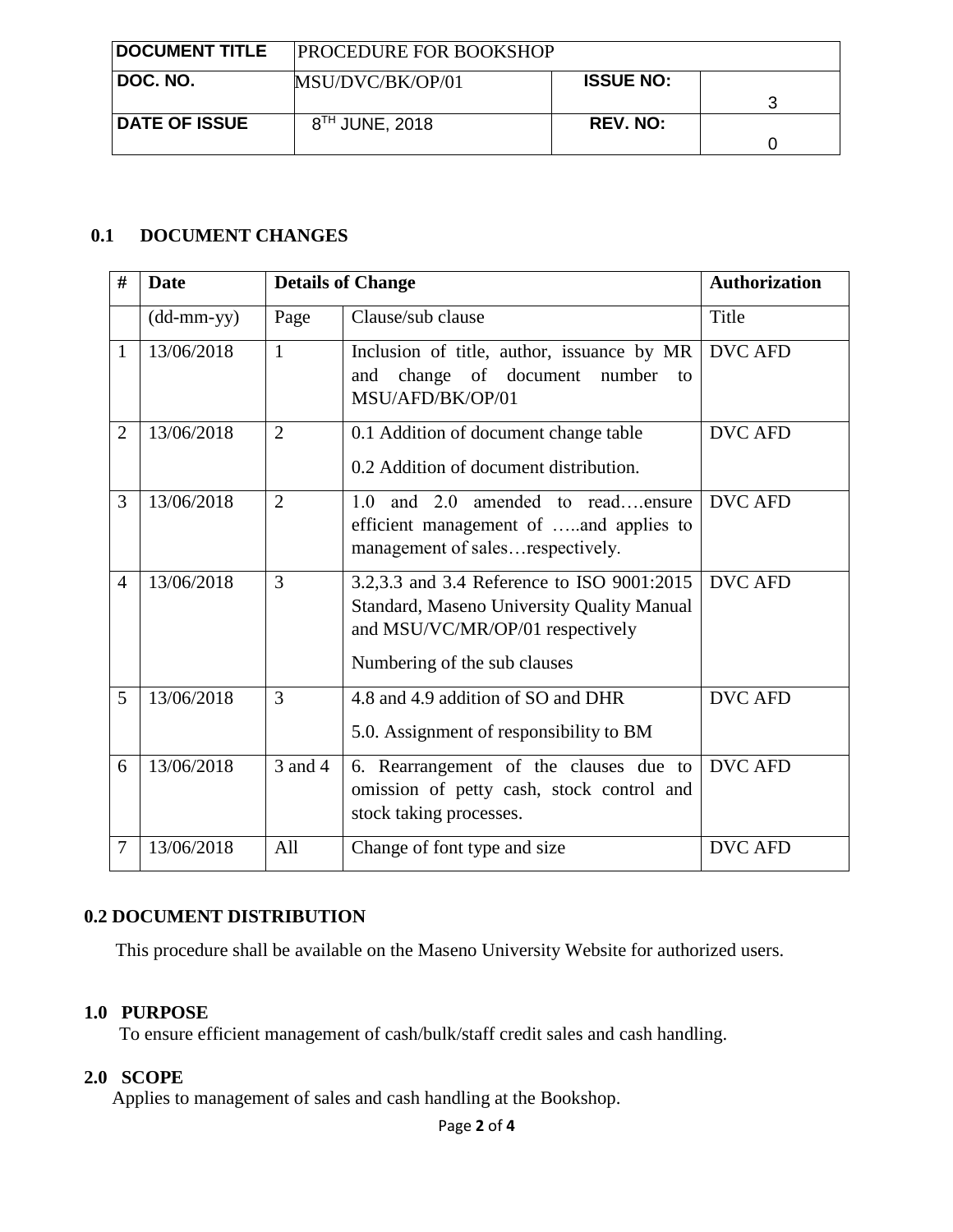| <b>DOCUMENT TITLE</b> | <b>PROCEDURE FOR BOOKSHOP</b> |                  |  |
|-----------------------|-------------------------------|------------------|--|
| ⊺DOC. NO.             | MSU/DVC/BK/OP/01              | <b>ISSUE NO:</b> |  |
| <b>DATE OF ISSUE</b>  | $8TH$ JUNE, 2018              | <b>REV. NO:</b>  |  |

## **0.1 DOCUMENT CHANGES**

| #              | <b>Date</b>                                 |                | <b>Details of Change</b>                                                                                                                                            | <b>Authorization</b> |
|----------------|---------------------------------------------|----------------|---------------------------------------------------------------------------------------------------------------------------------------------------------------------|----------------------|
|                | $(dd{\text{-}\!\!\,\mathrm{mm\text{-}yy}})$ | Page           | Clause/sub clause                                                                                                                                                   | Title                |
| $\mathbf{1}$   | 13/06/2018                                  | 1              | Inclusion of title, author, issuance by MR<br>change of document<br>number<br>and<br>to<br>MSU/AFD/BK/OP/01                                                         | <b>DVC AFD</b>       |
| $\overline{2}$ | 13/06/2018                                  | $\overline{2}$ | 0.1 Addition of document change table<br>0.2 Addition of document distribution.                                                                                     | <b>DVC AFD</b>       |
| 3              | 13/06/2018                                  | $\overline{2}$ | and 2.0 amended to readensure<br>1.0<br>efficient management of and applies to<br>management of salesrespectively.                                                  | <b>DVC AFD</b>       |
| $\overline{4}$ | 13/06/2018                                  | 3              | 3.2,3.3 and 3.4 Reference to ISO 9001:2015<br><b>Standard, Maseno University Quality Manual</b><br>and MSU/VC/MR/OP/01 respectively<br>Numbering of the sub clauses | <b>DVC AFD</b>       |
| 5              | 13/06/2018                                  | 3              | 4.8 and 4.9 addition of SO and DHR<br>5.0. Assignment of responsibility to BM                                                                                       | <b>DVC AFD</b>       |
| 6              | 13/06/2018                                  | 3 and 4        | 6. Rearrangement of the clauses due to<br>omission of petty cash, stock control and<br>stock taking processes.                                                      | <b>DVC AFD</b>       |
| 7              | 13/06/2018                                  | All            | Change of font type and size                                                                                                                                        | <b>DVC AFD</b>       |

## **0.2 DOCUMENT DISTRIBUTION**

This procedure shall be available on the Maseno University Website for authorized users.

## **1.0 PURPOSE**

To ensure efficient management of cash/bulk/staff credit sales and cash handling.

## **2.0 SCOPE**

Applies to management of sales and cash handling at the Bookshop.

Page **2** of **4**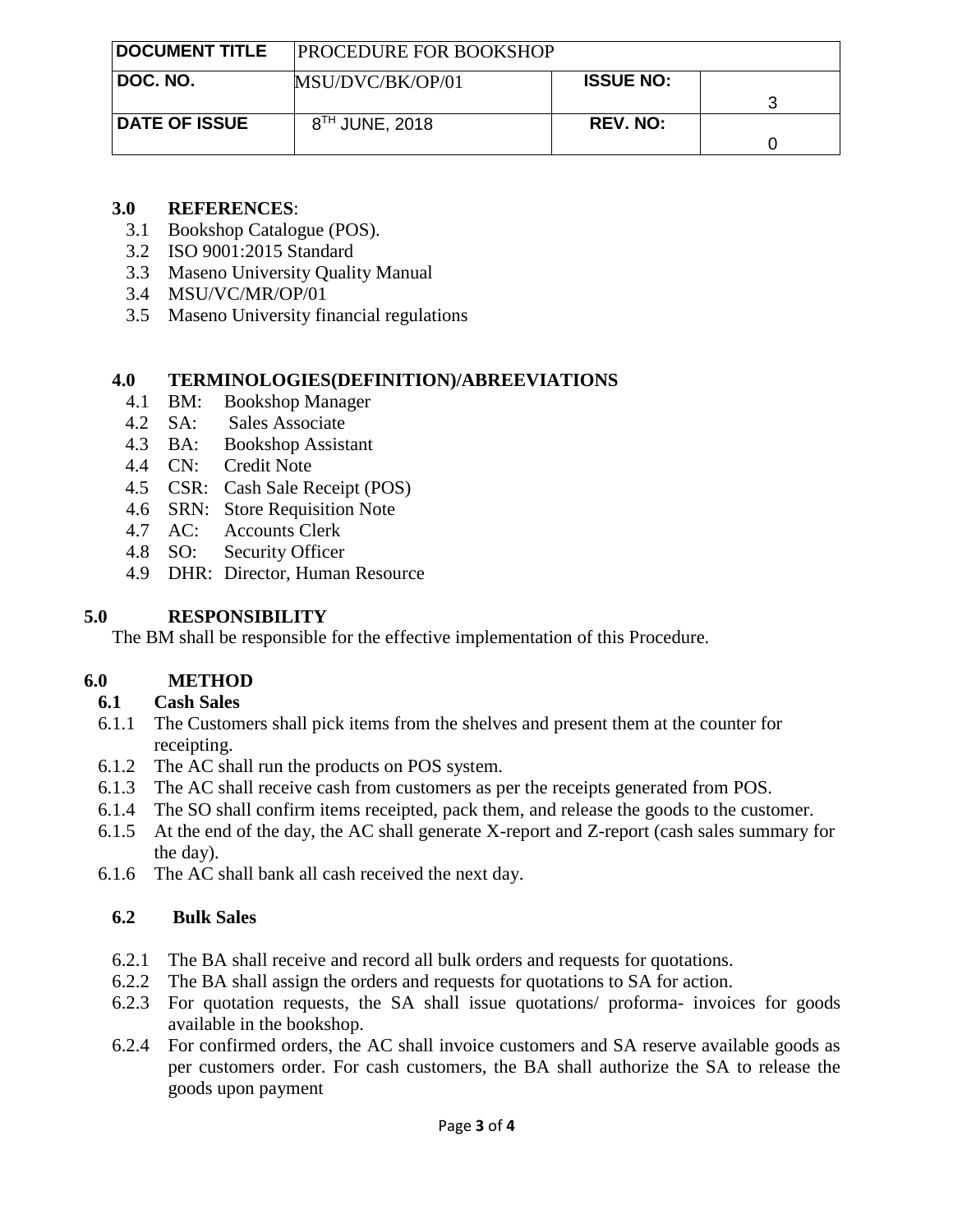| <b>DOCUMENT TITLE</b> | <b>PROCEDURE FOR BOOKSHOP</b> |                  |  |
|-----------------------|-------------------------------|------------------|--|
| ∣ DOC. NO.            | MSU/DVC/BK/OP/01              | <b>ISSUE NO:</b> |  |
| <b>DATE OF ISSUE</b>  | $8TH$ JUNE, 2018              | <b>REV. NO:</b>  |  |

#### **3.0 REFERENCES**:

- 3.1 Bookshop Catalogue (POS).
- 3.2 ISO 9001:2015 Standard
- 3.3 Maseno University Quality Manual
- 3.4 MSU/VC/MR/OP/01
- 3.5 Maseno University financial regulations

## **4.0 TERMINOLOGIES(DEFINITION)/ABREEVIATIONS**

- 4.1 BM: Bookshop Manager
- 4.2 SA: Sales Associate
- 4.3 BA: Bookshop Assistant
- 4.4 CN: Credit Note
- 4.5 CSR: Cash Sale Receipt (POS)
- 4.6 SRN: Store Requisition Note
- 4.7 AC: Accounts Clerk
- 4.8 SO: Security Officer
- 4.9 DHR: Director, Human Resource

## **5.0 RESPONSIBILITY**

The BM shall be responsible for the effective implementation of this Procedure.

## **6.0 METHOD**

## **6.1 Cash Sales**

- 6.1.1 The Customers shall pick items from the shelves and present them at the counter for receipting.
- 6.1.2 The AC shall run the products on POS system.
- 6.1.3 The AC shall receive cash from customers as per the receipts generated from POS.
- 6.1.4 The SO shall confirm items receipted, pack them, and release the goods to the customer.
- 6.1.5 At the end of the day, the AC shall generate X-report and Z-report (cash sales summary for the day).
- 6.1.6 The AC shall bank all cash received the next day.

## **6.2 Bulk Sales**

- 6.2.1 The BA shall receive and record all bulk orders and requests for quotations.
- 6.2.2 The BA shall assign the orders and requests for quotations to SA for action.
- 6.2.3 For quotation requests, the SA shall issue quotations/ proforma- invoices for goods available in the bookshop.
- 6.2.4 For confirmed orders, the AC shall invoice customers and SA reserve available goods as per customers order. For cash customers, the BA shall authorize the SA to release the goods upon payment